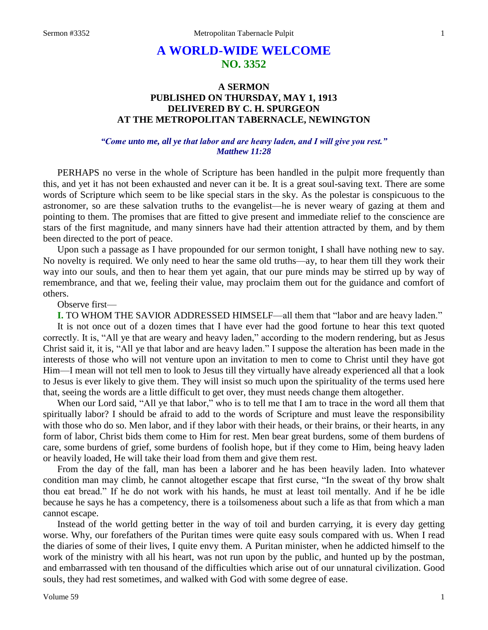# **A WORLD-WIDE WELCOME NO. 3352**

## **A SERMON PUBLISHED ON THURSDAY, MAY 1, 1913 DELIVERED BY C. H. SPURGEON AT THE METROPOLITAN TABERNACLE, NEWINGTON**

#### *"Come unto me, all ye that labor and are heavy laden, and I will give you rest." Matthew 11:28*

PERHAPS no verse in the whole of Scripture has been handled in the pulpit more frequently than this, and yet it has not been exhausted and never can it be. It is a great soul-saving text. There are some words of Scripture which seem to be like special stars in the sky. As the polestar is conspicuous to the astronomer, so are these salvation truths to the evangelist—he is never weary of gazing at them and pointing to them. The promises that are fitted to give present and immediate relief to the conscience are stars of the first magnitude, and many sinners have had their attention attracted by them, and by them been directed to the port of peace.

Upon such a passage as I have propounded for our sermon tonight, I shall have nothing new to say. No novelty is required. We only need to hear the same old truths—ay, to hear them till they work their way into our souls, and then to hear them yet again, that our pure minds may be stirred up by way of remembrance, and that we, feeling their value, may proclaim them out for the guidance and comfort of others.

Observe first—

**I.** TO WHOM THE SAVIOR ADDRESSED HIMSELF—all them that "labor and are heavy laden."

It is not once out of a dozen times that I have ever had the good fortune to hear this text quoted correctly. It is, "All ye that are weary and heavy laden," according to the modern rendering, but as Jesus Christ said it, it is, "All ye that labor and are heavy laden." I suppose the alteration has been made in the interests of those who will not venture upon an invitation to men to come to Christ until they have got Him—I mean will not tell men to look to Jesus till they virtually have already experienced all that a look to Jesus is ever likely to give them. They will insist so much upon the spirituality of the terms used here that, seeing the words are a little difficult to get over, they must needs change them altogether.

When our Lord said, "All ye that labor," who is to tell me that I am to trace in the word all them that spiritually labor? I should be afraid to add to the words of Scripture and must leave the responsibility with those who do so. Men labor, and if they labor with their heads, or their brains, or their hearts, in any form of labor, Christ bids them come to Him for rest. Men bear great burdens, some of them burdens of care, some burdens of grief, some burdens of foolish hope, but if they come to Him, being heavy laden or heavily loaded, He will take their load from them and give them rest.

From the day of the fall, man has been a laborer and he has been heavily laden. Into whatever condition man may climb, he cannot altogether escape that first curse, "In the sweat of thy brow shalt thou eat bread." If he do not work with his hands, he must at least toil mentally. And if he be idle because he says he has a competency, there is a toilsomeness about such a life as that from which a man cannot escape.

Instead of the world getting better in the way of toil and burden carrying, it is every day getting worse. Why, our forefathers of the Puritan times were quite easy souls compared with us. When I read the diaries of some of their lives, I quite envy them. A Puritan minister, when he addicted himself to the work of the ministry with all his heart, was not run upon by the public, and hunted up by the postman, and embarrassed with ten thousand of the difficulties which arise out of our unnatural civilization. Good souls, they had rest sometimes, and walked with God with some degree of ease.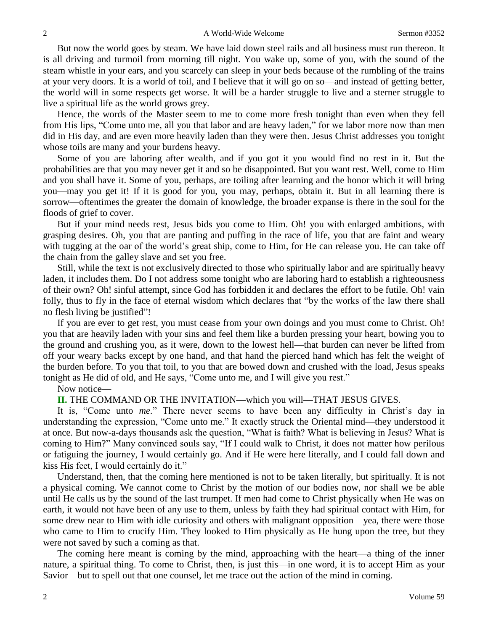But now the world goes by steam. We have laid down steel rails and all business must run thereon. It is all driving and turmoil from morning till night. You wake up, some of you, with the sound of the steam whistle in your ears, and you scarcely can sleep in your beds because of the rumbling of the trains at your very doors. It is a world of toil, and I believe that it will go on so—and instead of getting better, the world will in some respects get worse. It will be a harder struggle to live and a sterner struggle to live a spiritual life as the world grows grey.

Hence, the words of the Master seem to me to come more fresh tonight than even when they fell from His lips, "Come unto me, all you that labor and are heavy laden," for we labor more now than men did in His day, and are even more heavily laden than they were then. Jesus Christ addresses you tonight whose toils are many and your burdens heavy.

Some of you are laboring after wealth, and if you got it you would find no rest in it. But the probabilities are that you may never get it and so be disappointed. But you want rest. Well, come to Him and you shall have it. Some of you, perhaps, are toiling after learning and the honor which it will bring you—may you get it! If it is good for you, you may, perhaps, obtain it. But in all learning there is sorrow—oftentimes the greater the domain of knowledge, the broader expanse is there in the soul for the floods of grief to cover.

But if your mind needs rest, Jesus bids you come to Him. Oh! you with enlarged ambitions, with grasping desires. Oh, you that are panting and puffing in the race of life, you that are faint and weary with tugging at the oar of the world's great ship, come to Him, for He can release you. He can take off the chain from the galley slave and set you free.

Still, while the text is not exclusively directed to those who spiritually labor and are spiritually heavy laden, it includes them. Do I not address some tonight who are laboring hard to establish a righteousness of their own? Oh! sinful attempt, since God has forbidden it and declares the effort to be futile. Oh! vain folly, thus to fly in the face of eternal wisdom which declares that "by the works of the law there shall no flesh living be justified"!

If you are ever to get rest, you must cease from your own doings and you must come to Christ. Oh! you that are heavily laden with your sins and feel them like a burden pressing your heart, bowing you to the ground and crushing you, as it were, down to the lowest hell—that burden can never be lifted from off your weary backs except by one hand, and that hand the pierced hand which has felt the weight of the burden before. To you that toil, to you that are bowed down and crushed with the load, Jesus speaks tonight as He did of old, and He says, "Come unto me, and I will give you rest."

Now notice—

**II.** THE COMMAND OR THE INVITATION—which you will—THAT JESUS GIVES.

It is, "Come unto *me*." There never seems to have been any difficulty in Christ's day in understanding the expression, "Come unto me." It exactly struck the Oriental mind—they understood it at once. But now-a-days thousands ask the question, "What is faith? What is believing in Jesus? What is coming to Him?" Many convinced souls say, "If I could walk to Christ, it does not matter how perilous or fatiguing the journey, I would certainly go. And if He were here literally, and I could fall down and kiss His feet, I would certainly do it."

Understand, then, that the coming here mentioned is not to be taken literally, but spiritually. It is not a physical coming. We cannot come to Christ by the motion of our bodies now, nor shall we be able until He calls us by the sound of the last trumpet. If men had come to Christ physically when He was on earth, it would not have been of any use to them, unless by faith they had spiritual contact with Him, for some drew near to Him with idle curiosity and others with malignant opposition—yea, there were those who came to Him to crucify Him. They looked to Him physically as He hung upon the tree, but they were not saved by such a coming as that.

The coming here meant is coming by the mind, approaching with the heart—a thing of the inner nature, a spiritual thing. To come to Christ, then, is just this—in one word, it is to accept Him as your Savior—but to spell out that one counsel, let me trace out the action of the mind in coming.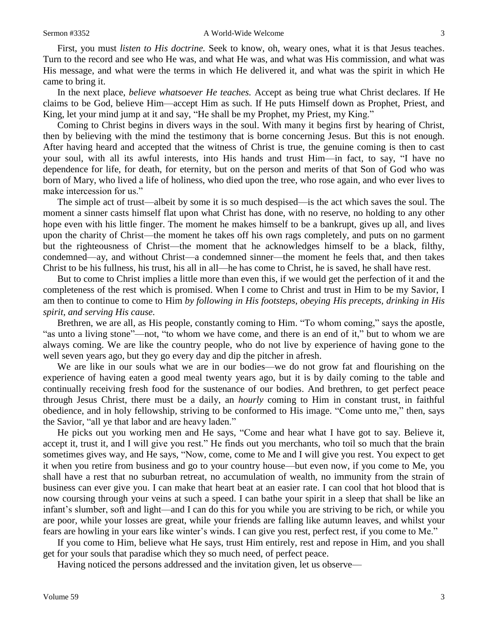First, you must *listen to His doctrine*. Seek to know, oh, weary ones, what it is that Jesus teaches. Turn to the record and see who He was, and what He was, and what was His commission, and what was His message, and what were the terms in which He delivered it, and what was the spirit in which He came to bring it.

In the next place, *believe whatsoever He teaches.* Accept as being true what Christ declares. If He claims to be God, believe Him—accept Him as such. If He puts Himself down as Prophet, Priest, and King, let your mind jump at it and say, "He shall be my Prophet, my Priest, my King."

Coming to Christ begins in divers ways in the soul. With many it begins first by hearing of Christ, then by believing with the mind the testimony that is borne concerning Jesus. But this is not enough. After having heard and accepted that the witness of Christ is true, the genuine coming is then to cast your soul, with all its awful interests, into His hands and trust Him—in fact, to say, "I have no dependence for life, for death, for eternity, but on the person and merits of that Son of God who was born of Mary, who lived a life of holiness, who died upon the tree, who rose again, and who ever lives to make intercession for us."

The simple act of trust—albeit by some it is so much despised—is the act which saves the soul. The moment a sinner casts himself flat upon what Christ has done, with no reserve, no holding to any other hope even with his little finger. The moment he makes himself to be a bankrupt, gives up all, and lives upon the charity of Christ—the moment he takes off his own rags completely, and puts on no garment but the righteousness of Christ—the moment that he acknowledges himself to be a black, filthy, condemned—ay, and without Christ—a condemned sinner—the moment he feels that, and then takes Christ to be his fullness, his trust, his all in all—he has come to Christ, he is saved, he shall have rest.

But to come to Christ implies a little more than even this, if we would get the perfection of it and the completeness of the rest which is promised. When I come to Christ and trust in Him to be my Savior, I am then to continue to come to Him *by following in His footsteps, obeying His precepts, drinking in His spirit, and serving His cause.* 

Brethren, we are all, as His people, constantly coming to Him. "To whom coming," says the apostle, "as unto a living stone"—not, "to whom we have come, and there is an end of it," but to whom we are always coming. We are like the country people, who do not live by experience of having gone to the well seven years ago, but they go every day and dip the pitcher in afresh.

We are like in our souls what we are in our bodies—we do not grow fat and flourishing on the experience of having eaten a good meal twenty years ago, but it is by daily coming to the table and continually receiving fresh food for the sustenance of our bodies. And brethren, to get perfect peace through Jesus Christ, there must be a daily, an *hourly* coming to Him in constant trust, in faithful obedience, and in holy fellowship, striving to be conformed to His image. "Come unto me," then, says the Savior, "all ye that labor and are heavy laden."

He picks out you working men and He says, "Come and hear what I have got to say. Believe it, accept it, trust it, and I will give you rest." He finds out you merchants, who toil so much that the brain sometimes gives way, and He says, "Now*,* come, come to Me and I will give you rest. You expect to get it when you retire from business and go to your country house—but even now, if you come to Me, you shall have a rest that no suburban retreat, no accumulation of wealth, no immunity from the strain of business can ever give you. I can make that heart beat at an easier rate. I can cool that hot blood that is now coursing through your veins at such a speed. I can bathe your spirit in a sleep that shall be like an infant's slumber, soft and light—and I can do this for you while you are striving to be rich, or while you are poor, while your losses are great, while your friends are falling like autumn leaves, and whilst your fears are howling in your ears like winter's winds. I can give you rest, perfect rest, if you come to Me."

If you come to Him, believe what He says, trust Him entirely, rest and repose in Him, and you shall get for your souls that paradise which they so much need, of perfect peace.

Having noticed the persons addressed and the invitation given, let us observe—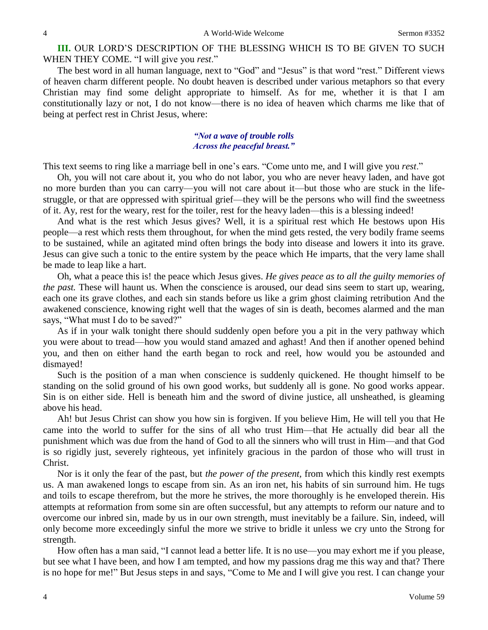# **III.** OUR LORD'S DESCRIPTION OF THE BLESSING WHICH IS TO BE GIVEN TO SUCH WHEN THEY COME. "I will give you *rest*."

The best word in all human language, next to "God" and "Jesus" is that word "rest." Different views of heaven charm different people. No doubt heaven is described under various metaphors so that every Christian may find some delight appropriate to himself. As for me, whether it is that I am constitutionally lazy or not, I do not know—there is no idea of heaven which charms me like that of being at perfect rest in Christ Jesus, where:

#### *"Not a wave of trouble rolls Across the peaceful breast."*

This text seems to ring like a marriage bell in one's ears. "Come unto me, and I will give you *rest*."

Oh, you will not care about it, you who do not labor, you who are never heavy laden, and have got no more burden than you can carry—you will not care about it—but those who are stuck in the lifestruggle, or that are oppressed with spiritual grief—they will be the persons who will find the sweetness of it. Ay, rest for the weary, rest for the toiler, rest for the heavy laden—this is a blessing indeed!

And what is the rest which Jesus gives? Well, it is a spiritual rest which He bestows upon His people—a rest which rests them throughout, for when the mind gets rested, the very bodily frame seems to be sustained, while an agitated mind often brings the body into disease and lowers it into its grave. Jesus can give such a tonic to the entire system by the peace which He imparts, that the very lame shall be made to leap like a hart.

Oh, what a peace this is! the peace which Jesus gives. *He gives peace as to all the guilty memories of the past.* These will haunt us. When the conscience is aroused, our dead sins seem to start up, wearing, each one its grave clothes, and each sin stands before us like a grim ghost claiming retribution And the awakened conscience, knowing right well that the wages of sin is death, becomes alarmed and the man says, "What must I do to be saved?"

As if in your walk tonight there should suddenly open before you a pit in the very pathway which you were about to tread—how you would stand amazed and aghast! And then if another opened behind you, and then on either hand the earth began to rock and reel, how would you be astounded and dismayed!

Such is the position of a man when conscience is suddenly quickened. He thought himself to be standing on the solid ground of his own good works, but suddenly all is gone. No good works appear. Sin is on either side. Hell is beneath him and the sword of divine justice, all unsheathed, is gleaming above his head.

Ah! but Jesus Christ can show you how sin is forgiven. If you believe Him, He will tell you that He came into the world to suffer for the sins of all who trust Him—that He actually did bear all the punishment which was due from the hand of God to all the sinners who will trust in Him—and that God is so rigidly just, severely righteous, yet infinitely gracious in the pardon of those who will trust in Christ.

Nor is it only the fear of the past, but *the power of the present,* from which this kindly rest exempts us. A man awakened longs to escape from sin. As an iron net, his habits of sin surround him. He tugs and toils to escape therefrom, but the more he strives, the more thoroughly is he enveloped therein. His attempts at reformation from some sin are often successful, but any attempts to reform our nature and to overcome our inbred sin, made by us in our own strength, must inevitably be a failure. Sin, indeed, will only become more exceedingly sinful the more we strive to bridle it unless we cry unto the Strong for strength.

How often has a man said, "I cannot lead a better life. It is no use—you may exhort me if you please, but see what I have been, and how I am tempted, and how my passions drag me this way and that? There is no hope for me!" But Jesus steps in and says, "Come to Me and I will give you rest. I can change your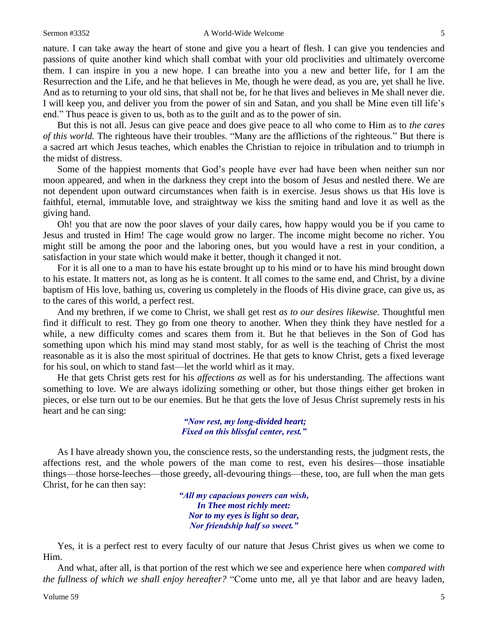#### Sermon #3352 A World-Wide Welcome 5

nature. I can take away the heart of stone and give you a heart of flesh. I can give you tendencies and passions of quite another kind which shall combat with your old proclivities and ultimately overcome them. I can inspire in you a new hope. I can breathe into you a new and better life, for I am the Resurrection and the Life, and he that believes in Me, though he were dead, as you are, yet shall he live. And as to returning to your old sins, that shall not be, for he that lives and believes in Me shall never die. I will keep you, and deliver you from the power of sin and Satan, and you shall be Mine even till life's end." Thus peace is given to us, both as to the guilt and as to the power of sin.

But this is not all. Jesus can give peace and does give peace to all who come to Him as to *the cares of this world.* The righteous have their troubles. "Many are the afflictions of the righteous." But there is a sacred art which Jesus teaches, which enables the Christian to rejoice in tribulation and to triumph in the midst of distress.

Some of the happiest moments that God's people have ever had have been when neither sun nor moon appeared, and when in the darkness they crept into the bosom of Jesus and nestled there. We are not dependent upon outward circumstances when faith is in exercise. Jesus shows us that His love is faithful, eternal, immutable love, and straightway we kiss the smiting hand and love it as well as the giving hand.

Oh! you that are now the poor slaves of your daily cares, how happy would you be if you came to Jesus and trusted in Him! The cage would grow no larger. The income might become no richer. You might still be among the poor and the laboring ones, but you would have a rest in your condition, a satisfaction in your state which would make it better, though it changed it not.

For it is all one to a man to have his estate brought up to his mind or to have his mind brought down to his estate. It matters not, as long as he is content. It all comes to the same end, and Christ, by a divine baptism of His love, bathing us, covering us completely in the floods of His divine grace, can give us, as to the cares of this world, a perfect rest.

And my brethren, if we come to Christ, we shall get rest *as to our desires likewise.* Thoughtful men find it difficult to rest. They go from one theory to another. When they think they have nestled for a while, a new difficulty comes and scares them from it. But he that believes in the Son of God has something upon which his mind may stand most stably, for as well is the teaching of Christ the most reasonable as it is also the most spiritual of doctrines. He that gets to know Christ, gets a fixed leverage for his soul, on which to stand fast—let the world whirl as it may.

He that gets Christ gets rest for his *affections as* well as for his understanding. The affections want something to love. We are always idolizing something or other, but those things either get broken in pieces, or else turn out to be our enemies. But he that gets the love of Jesus Christ supremely rests in his heart and he can sing:

#### *"Now rest, my long-divided heart; Fixed on this blissful center, rest."*

As I have already shown you, the conscience rests, so the understanding rests, the judgment rests, the affections rest, and the whole powers of the man come to rest, even his desires—those insatiable things—those horse-leeches—those greedy, all-devouring things—these, too, are full when the man gets Christ, for he can then say:

> *"All my capacious powers can wish, In Thee most richly meet: Nor to my eyes is light so dear, Nor friendship half so sweet."*

Yes, it is a perfect rest to every faculty of our nature that Jesus Christ gives us when we come to Him.

And what, after all, is that portion of the rest which we see and experience here when c*ompared with the fullness of which we shall enjoy hereafter?* "Come unto me, all ye that labor and are heavy laden,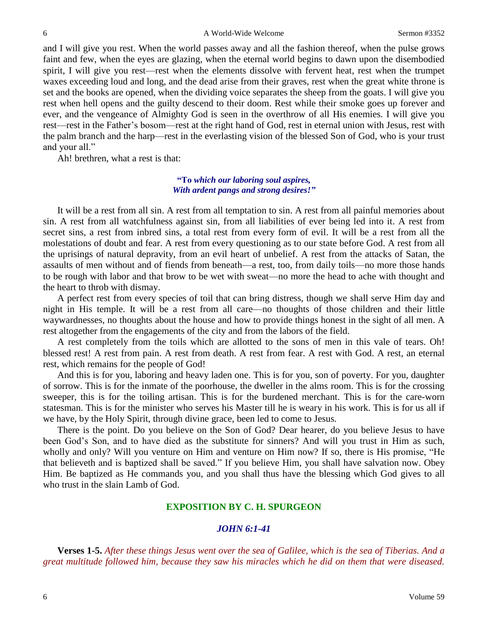and I will give you rest. When the world passes away and all the fashion thereof, when the pulse grows faint and few, when the eyes are glazing, when the eternal world begins to dawn upon the disembodied spirit, I will give you rest—rest when the elements dissolve with fervent heat, rest when the trumpet waxes exceeding loud and long, and the dead arise from their graves, rest when the great white throne is set and the books are opened, when the dividing voice separates the sheep from the goats. I will give you rest when hell opens and the guilty descend to their doom. Rest while their smoke goes up forever and ever, and the vengeance of Almighty God is seen in the overthrow of all His enemies. I will give you rest—rest in the Father's bosom—rest at the right hand of God, rest in eternal union with Jesus, rest with the palm branch and the harp—rest in the everlasting vision of the blessed Son of God, who is your trust and your all."

Ah! brethren, what a rest is that:

#### **"To** *which our laboring soul aspires, With ardent pangs and strong desires!"*

It will be a rest from all sin. A rest from all temptation to sin. A rest from all painful memories about sin. A rest from all watchfulness against sin, from all liabilities of ever being led into it. A rest from secret sins, a rest from inbred sins, a total rest from every form of evil. It will be a rest from all the molestations of doubt and fear. A rest from every questioning as to our state before God. A rest from all the uprisings of natural depravity, from an evil heart of unbelief. A rest from the attacks of Satan, the assaults of men without and of fiends from beneath—a rest, too, from daily toils—no more those hands to be rough with labor and that brow to be wet with sweat—no more the head to ache with thought and the heart to throb with dismay.

A perfect rest from every species of toil that can bring distress, though we shall serve Him day and night in His temple. It will be a rest from all care—no thoughts of those children and their little waywardnesses, no thoughts about the house and how to provide things honest in the sight of all men. A rest altogether from the engagements of the city and from the labors of the field.

A rest completely from the toils which are allotted to the sons of men in this vale of tears. Oh! blessed rest! A rest from pain. A rest from death. A rest from fear. A rest with God. A rest, an eternal rest, which remains for the people of God!

And this is for you, laboring and heavy laden one. This is for you, son of poverty. For you, daughter of sorrow. This is for the inmate of the poorhouse, the dweller in the alms room. This is for the crossing sweeper, this is for the toiling artisan. This is for the burdened merchant. This is for the care-worn statesman. This is for the minister who serves his Master till he is weary in his work. This is for us all if we have, by the Holy Spirit, through divine grace, been led to come to Jesus.

There is the point. Do you believe on the Son of God? Dear hearer, do you believe Jesus to have been God's Son, and to have died as the substitute for sinners? And will you trust in Him as such, wholly and only? Will you venture on Him and venture on Him now? If so, there is His promise, "He that believeth and is baptized shall be saved." If you believe Him, you shall have salvation now. Obey Him. Be baptized as He commands you, and you shall thus have the blessing which God gives to all who trust in the slain Lamb of God.

#### **EXPOSITION BY C. H. SPURGEON**

#### *JOHN 6:1-41*

**Verses 1-5.** *After these things Jesus went over the sea of Galilee, which is the sea of Tiberias. And a great multitude followed him, because they saw his miracles which he did on them that were diseased.*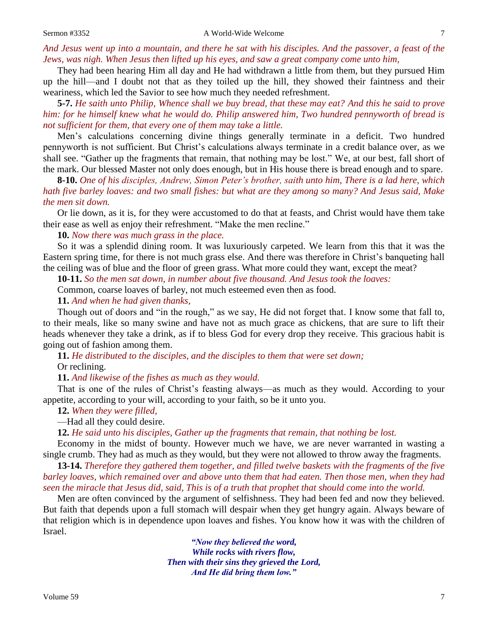*And Jesus went up into a mountain, and there he sat with his disciples. And the passover, a feast of the Jews, was nigh. When Jesus then lifted up his eyes, and saw a great company come unto him,*

They had been hearing Him all day and He had withdrawn a little from them, but they pursued Him up the hill—and I doubt not that as they toiled up the hill, they showed their faintness and their weariness, which led the Savior to see how much they needed refreshment.

**5-7.** *He saith unto Philip, Whence shall we buy bread, that these may eat? And this he said to prove him: for he himself knew what he would do. Philip answered him, Two hundred pennyworth of bread is not sufficient for them, that every one of them may take a little.*

Men's calculations concerning divine things generally terminate in a deficit. Two hundred pennyworth is not sufficient. But Christ's calculations always terminate in a credit balance over, as we shall see. "Gather up the fragments that remain, that nothing may be lost." We, at our best, fall short of the mark. Our blessed Master not only does enough, but in His house there is bread enough and to spare.

**8-10.** *One of his disciples, Andrew, Simon Peter's brother, saith unto him, There is a lad here, which hath five barley loaves: and two small fishes: but what are they among so many? And Jesus said, Make the men sit down.*

Or lie down, as it is, for they were accustomed to do that at feasts, and Christ would have them take their ease as well as enjoy their refreshment. "Make the men recline."

**10.** *Now there was much grass in the place.*

So it was a splendid dining room. It was luxuriously carpeted. We learn from this that it was the Eastern spring time, for there is not much grass else. And there was therefore in Christ's banqueting hall the ceiling was of blue and the floor of green grass. What more could they want, except the meat?

**10-11.** *So the men sat down, in number about five thousand. And Jesus took the loaves:*

Common, coarse loaves of barley, not much esteemed even then as food.

**11.** *And when he had given thanks,*

Though out of doors and "in the rough," as we say, He did not forget that. I know some that fall to, to their meals, like so many swine and have not as much grace as chickens, that are sure to lift their heads whenever they take a drink, as if to bless God for every drop they receive. This gracious habit is going out of fashion among them.

**11.** *He distributed to the disciples, and the disciples to them that were set down;* Or reclining.

**11.** *And likewise of the fishes as much as they would.*

That is one of the rules of Christ's feasting always—as much as they would. According to your appetite, according to your will, according to your faith, so be it unto you.

**12.** *When they were filled,*

—Had all they could desire.

**12.** *He said unto his disciples, Gather up the fragments that remain, that nothing be lost.*

Economy in the midst of bounty. However much we have, we are never warranted in wasting a single crumb. They had as much as they would, but they were not allowed to throw away the fragments.

**13-14.** *Therefore they gathered them together, and filled twelve baskets with the fragments of the five barley loaves, which remained over and above unto them that had eaten. Then those men, when they had seen the miracle that Jesus did, said, This is of a truth that prophet that should come into the world.*

Men are often convinced by the argument of selfishness. They had been fed and now they believed. But faith that depends upon a full stomach will despair when they get hungry again. Always beware of that religion which is in dependence upon loaves and fishes. You know how it was with the children of Israel.

> *"Now they believed the word, While rocks with rivers flow, Then with their sins they grieved the Lord, And He did bring them low."*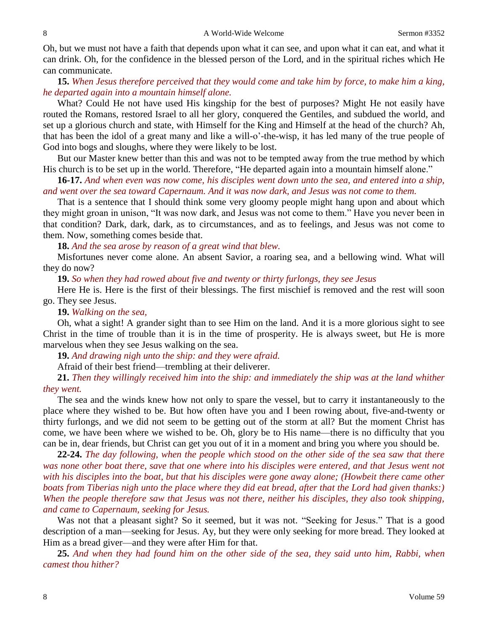Oh, but we must not have a faith that depends upon what it can see, and upon what it can eat, and what it can drink. Oh, for the confidence in the blessed person of the Lord, and in the spiritual riches which He can communicate.

**15.** *When Jesus therefore perceived that they would come and take him by force, to make him a king, he departed again into a mountain himself alone.*

What? Could He not have used His kingship for the best of purposes? Might He not easily have routed the Romans, restored Israel to all her glory, conquered the Gentiles, and subdued the world, and set up a glorious church and state, with Himself for the King and Himself at the head of the church? Ah, that has been the idol of a great many and like a will-o'-the-wisp, it has led many of the true people of God into bogs and sloughs, where they were likely to be lost.

But our Master knew better than this and was not to be tempted away from the true method by which His church is to be set up in the world. Therefore, "He departed again into a mountain himself alone."

### **16-17.** *And when even was now come, his disciples went down unto the sea, and entered into a ship, and went over the sea toward Capernaum. And it was now dark, and Jesus was not come to them.*

That is a sentence that I should think some very gloomy people might hang upon and about which they might groan in unison, "It was now dark, and Jesus was not come to them." Have you never been in that condition? Dark, dark, dark, as to circumstances, and as to feelings, and Jesus was not come to them. Now, something comes beside that.

**18.** *And the sea arose by reason of a great wind that blew.*

Misfortunes never come alone. An absent Savior, a roaring sea, and a bellowing wind. What will they do now?

**19.** *So when they had rowed about five and twenty or thirty furlongs, they see Jesus* 

Here He is. Here is the first of their blessings. The first mischief is removed and the rest will soon go. They see Jesus.

**19.** *Walking on the sea,*

Oh, what a sight! A grander sight than to see Him on the land. And it is a more glorious sight to see Christ in the time of trouble than it is in the time of prosperity. He is always sweet, but He is more marvelous when they see Jesus walking on the sea.

**19.** *And drawing nigh unto the ship: and they were afraid.*

Afraid of their best friend—trembling at their deliverer.

#### **21.** *Then they willingly received him into the ship: and immediately the ship was at the land whither they went.*

The sea and the winds knew how not only to spare the vessel, but to carry it instantaneously to the place where they wished to be. But how often have you and I been rowing about, five-and-twenty or thirty furlongs, and we did not seem to be getting out of the storm at all? But the moment Christ has come, we have been where we wished to be. Oh, glory be to His name—there is no difficulty that you can be in, dear friends, but Christ can get you out of it in a moment and bring you where you should be.

**22-24.** *The day following, when the people which stood on the other side of the sea saw that there was none other boat there, save that one where into his disciples were entered, and that Jesus went not with his disciples into the boat, but that his disciples were gone away alone; (Howbeit there came other boats from Tiberias nigh unto the place where they did eat bread, after that the Lord had given thanks:) When the people therefore saw that Jesus was not there, neither his disciples, they also took shipping, and came to Capernaum, seeking for Jesus.*

Was not that a pleasant sight? So it seemed, but it was not. "Seeking for Jesus." That is a good description of a man—seeking for Jesus. Ay, but they were only seeking for more bread. They looked at Him as a bread giver—and they were after Him for that.

**25.** *And when they had found him on the other side of the sea, they said unto him, Rabbi, when camest thou hither?*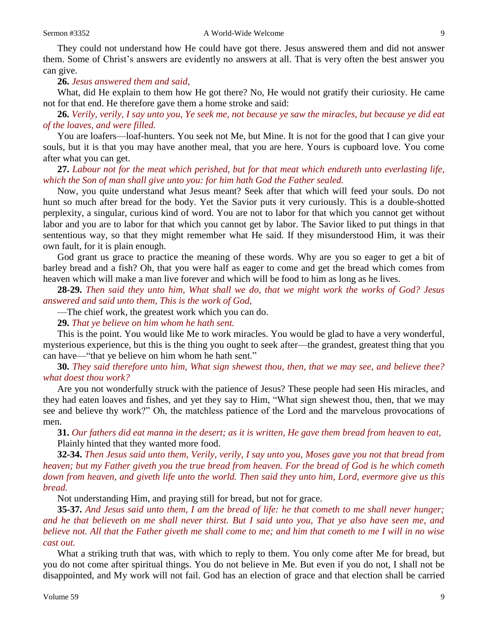They could not understand how He could have got there. Jesus answered them and did not answer them. Some of Christ's answers are evidently no answers at all. That is very often the best answer you can give.

#### **26.** *Jesus answered them and said,*

What, did He explain to them how He got there? No*,* He would not gratify their curiosity. He came not for that end. He therefore gave them a home stroke and said:

**26.** *Verily, verily, I say unto you, Ye seek me, not because ye saw the miracles, but because ye did eat of the loaves, and were filled.*

You are loafers—loaf-hunters. You seek not Me, but Mine. It is not for the good that I can give your souls, but it is that you may have another meal, that you are here. Yours is cupboard love. You come after what you can get.

**27.** *Labour not for the meat which perished, but for that meat which endureth unto everlasting life, which the Son of man shall give unto you: for him hath God the Father sealed.*

Now, you quite understand what Jesus meant? Seek after that which will feed your souls. Do not hunt so much after bread for the body. Yet the Savior puts it very curiously. This is a double-shotted perplexity, a singular, curious kind of word. You are not to labor for that which you cannot get without labor and you are to labor for that which you cannot get by labor. The Savior liked to put things in that sententious way, so that they might remember what He said. If they misunderstood Him, it was their own fault, for it is plain enough.

God grant us grace to practice the meaning of these words. Why are you so eager to get a bit of barley bread and a fish? Oh, that you were half as eager to come and get the bread which comes from heaven which will make a man live forever and which will be food to him as long as he lives.

**28-29.** *Then said they unto him, What shall we do, that we might work the works of God? Jesus answered and said unto them, This is the work of God,*

—The chief work, the greatest work which you can do.

#### **29.** *That ye believe on him whom he hath sent.*

This is the point. You would like Me to work miracles. You would be glad to have a very wonderful, mysterious experience, but this is the thing you ought to seek after—the grandest, greatest thing that you can have—"that ye believe on him whom he hath sent."

**30.** *They said therefore unto him, What sign shewest thou, then, that we may see, and believe thee? what doest thou work?*

Are you not wonderfully struck with the patience of Jesus? These people had seen His miracles, and they had eaten loaves and fishes, and yet they say to Him, "What sign shewest thou, then, that we may see and believe thy work?" Oh, the matchless patience of the Lord and the marvelous provocations of men.

**31.** *Our fathers did eat manna in the desert; as it is written, He gave them bread from heaven to eat,* Plainly hinted that they wanted more food.

**32-34.** *Then Jesus said unto them, Verily, verily, I say unto you, Moses gave you not that bread from heaven; but my Father giveth you the true bread from heaven. For the bread of God is he which cometh down from heaven, and giveth life unto the world. Then said they unto him, Lord, evermore give us this bread.*

Not understanding Him, and praying still for bread, but not for grace.

**35-37.** *And Jesus said unto them, I am the bread of life: he that cometh to me shall never hunger; and he that believeth on me shall never thirst. But I said unto you, That ye also have seen me, and believe not. All that the Father giveth me shall come to me; and him that cometh to me I will in no wise cast out.*

What a striking truth that was, with which to reply to them. You only come after Me for bread, but you do not come after spiritual things. You do not believe in Me. But even if you do not, I shall not be disappointed, and My work will not fail. God has an election of grace and that election shall be carried